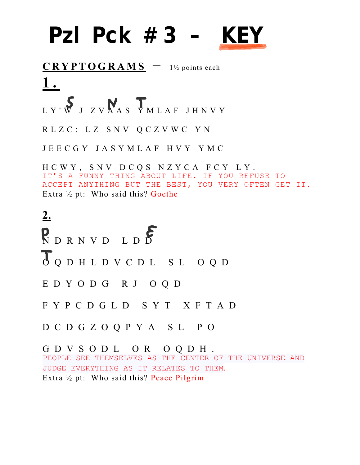## **Pzl Pck #3 — KEY**

**CRYPTOGRAMS** - 1½ points each **1 .**

LY'W J ZVNAS YMLAF JHNVY

RLZC: LZ SNV QCZVWC YN

JEECGY JASYMLAF HVY YMC

HCWY, SNV DCQS NZYCA FCY LY. IT'S A FUNNY THING ABOUT LIFE. IF YOU REFUSE TO ACCEPT ANYTHING BUT THE BEST, YOU VERY OFTEN GET IT. Extra ½ pt: Who said this? Goethe

**2.** RDRNVD LDD OQDHLDVCDL SL OQD EDYODG RJ OQD FYPCDGLD SYT XFTAD DCDGZOQPYA SL PO GDVSODL OR OQDH.

PEOPLE SEE THEMSELVES AS THE CENTER OF THE UNIVERSE AND JUDGE EVERYTHING AS IT RELATES TO THEM. Extra ½ pt: Who said this? Peace Pilgrim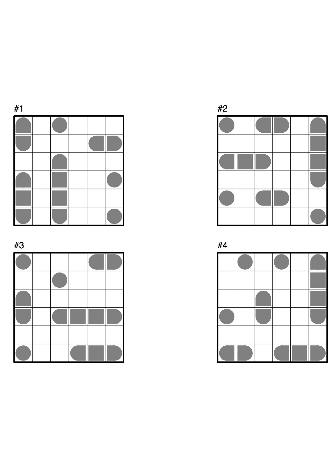

#3







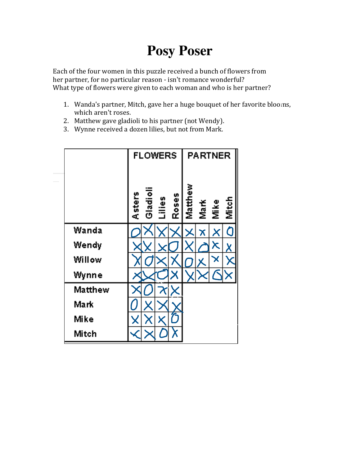## **Posy Poser**

Each of the four women in this puzzle received a bunch of flowers from her partner, for no particular reason - isn't romance wonderful? What type of flowers were given to each woman and who is her partner?

- 1. Wanda's partner, Mitch, gave her a huge bouquet of her favorite blooms, which aren't roses.
- 2. Matthew gave gladioli to his partner (not Wendy).
- 3. Wynne received a dozen lilies, but not from Mark.